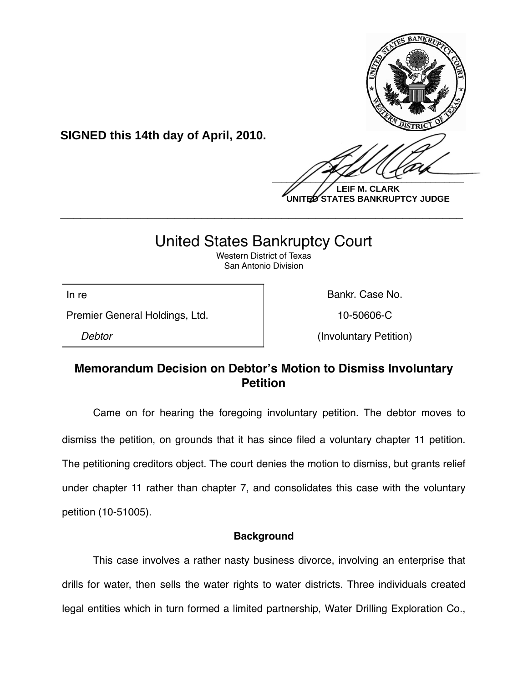

**UNITED STATES BANKRUPTCY JUDGE**

# United States Bankruptcy Court

**\_\_\_\_\_\_\_\_\_\_\_\_\_\_\_\_\_\_\_\_\_\_\_\_\_\_\_\_\_\_\_\_\_\_\_\_\_\_\_\_\_\_\_\_\_\_\_\_\_\_\_\_\_\_\_\_\_\_\_\_**

Western District of Texas San Antonio Division

Premier General Holdings, Ltd. 10-50606-C

**SIGNED this 14th day of April, 2010.**

In re **Bankr.** Case No.

*Debtor* (Involuntary Petition)

## **Memorandum Decision on Debtor's Motion to Dismiss Involuntary Petition**

Came on for hearing the foregoing involuntary petition. The debtor moves to dismiss the petition, on grounds that it has since filed a voluntary chapter 11 petition. The petitioning creditors object. The court denies the motion to dismiss, but grants relief under chapter 11 rather than chapter 7, and consolidates this case with the voluntary petition (10-51005).

### **Background**

This case involves a rather nasty business divorce, involving an enterprise that drills for water, then sells the water rights to water districts. Three individuals created legal entities which in turn formed a limited partnership, Water Drilling Exploration Co.,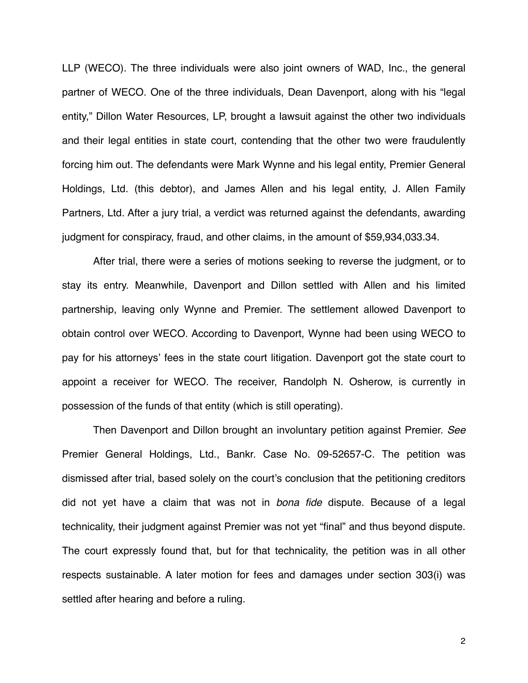LLP (WECO). The three individuals were also joint owners of WAD, Inc., the general partner of WECO. One of the three individuals, Dean Davenport, along with his "legal entity," Dillon Water Resources, LP, brought a lawsuit against the other two individuals and their legal entities in state court, contending that the other two were fraudulently forcing him out. The defendants were Mark Wynne and his legal entity, Premier General Holdings, Ltd. (this debtor), and James Allen and his legal entity, J. Allen Family Partners, Ltd. After a jury trial, a verdict was returned against the defendants, awarding judgment for conspiracy, fraud, and other claims, in the amount of \$59,934,033.34.

After trial, there were a series of motions seeking to reverse the judgment, or to stay its entry. Meanwhile, Davenport and Dillon settled with Allen and his limited partnership, leaving only Wynne and Premier. The settlement allowed Davenport to obtain control over WECO. According to Davenport, Wynne had been using WECO to pay for his attorneys' fees in the state court litigation. Davenport got the state court to appoint a receiver for WECO. The receiver, Randolph N. Osherow, is currently in possession of the funds of that entity (which is still operating).

Then Davenport and Dillon brought an involuntary petition against Premier. *See*  Premier General Holdings, Ltd., Bankr. Case No. 09-52657-C. The petition was dismissed after trial, based solely on the court's conclusion that the petitioning creditors did not yet have a claim that was not in *bona fide* dispute. Because of a legal technicality, their judgment against Premier was not yet "final" and thus beyond dispute. The court expressly found that, but for that technicality, the petition was in all other respects sustainable. A later motion for fees and damages under section 303(i) was settled after hearing and before a ruling.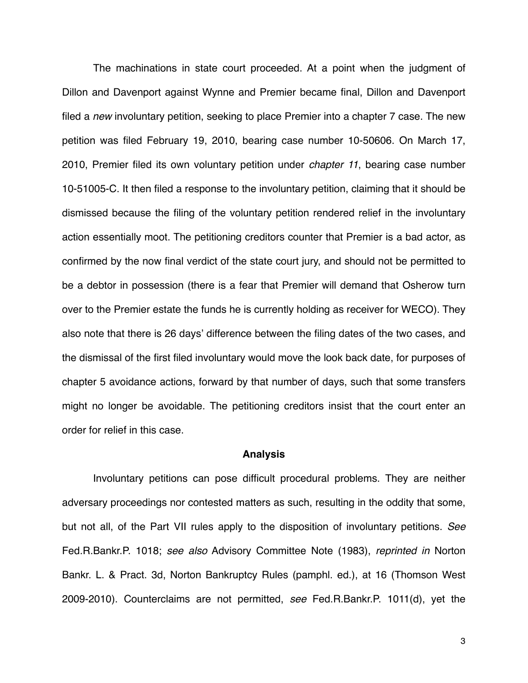The machinations in state court proceeded. At a point when the judgment of Dillon and Davenport against Wynne and Premier became final, Dillon and Davenport filed a *new* involuntary petition, seeking to place Premier into a chapter 7 case. The new petition was filed February 19, 2010, bearing case number 10-50606. On March 17, 2010, Premier filed its own voluntary petition under *chapter 11*, bearing case number 10-51005-C. It then filed a response to the involuntary petition, claiming that it should be dismissed because the filing of the voluntary petition rendered relief in the involuntary action essentially moot. The petitioning creditors counter that Premier is a bad actor, as confirmed by the now final verdict of the state court jury, and should not be permitted to be a debtor in possession (there is a fear that Premier will demand that Osherow turn over to the Premier estate the funds he is currently holding as receiver for WECO). They also note that there is 26 days' difference between the filing dates of the two cases, and the dismissal of the first filed involuntary would move the look back date, for purposes of chapter 5 avoidance actions, forward by that number of days, such that some transfers might no longer be avoidable. The petitioning creditors insist that the court enter an order for relief in this case.

#### **Analysis**

Involuntary petitions can pose difficult procedural problems. They are neither adversary proceedings nor contested matters as such, resulting in the oddity that some, but not all, of the Part VII rules apply to the disposition of involuntary petitions. *See* Fed.R.Bankr.P. 1018; *see also* Advisory Committee Note (1983), *reprinted in* Norton Bankr. L. & Pract. 3d, Norton Bankruptcy Rules (pamphl. ed.), at 16 (Thomson West 2009-2010). Counterclaims are not permitted, *see* Fed.R.Bankr.P. 1011(d), yet the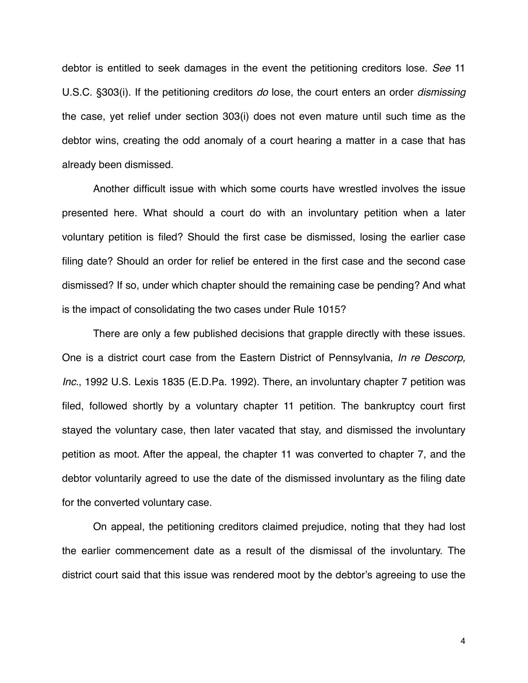debtor is entitled to seek damages in the event the petitioning creditors lose. *See* 11 U.S.C. §303(i). If the petitioning creditors *do* lose, the court enters an order *dismissing* the case, yet relief under section 303(i) does not even mature until such time as the debtor wins, creating the odd anomaly of a court hearing a matter in a case that has already been dismissed.

Another difficult issue with which some courts have wrestled involves the issue presented here. What should a court do with an involuntary petition when a later voluntary petition is filed? Should the first case be dismissed, losing the earlier case filing date? Should an order for relief be entered in the first case and the second case dismissed? If so, under which chapter should the remaining case be pending? And what is the impact of consolidating the two cases under Rule 1015?

There are only a few published decisions that grapple directly with these issues. One is a district court case from the Eastern District of Pennsylvania, *In re Descorp, Inc.*, 1992 U.S. Lexis 1835 (E.D.Pa. 1992). There, an involuntary chapter 7 petition was filed, followed shortly by a voluntary chapter 11 petition. The bankruptcy court first stayed the voluntary case, then later vacated that stay, and dismissed the involuntary petition as moot. After the appeal, the chapter 11 was converted to chapter 7, and the debtor voluntarily agreed to use the date of the dismissed involuntary as the filing date for the converted voluntary case.

On appeal, the petitioning creditors claimed prejudice, noting that they had lost the earlier commencement date as a result of the dismissal of the involuntary. The district court said that this issue was rendered moot by the debtor's agreeing to use the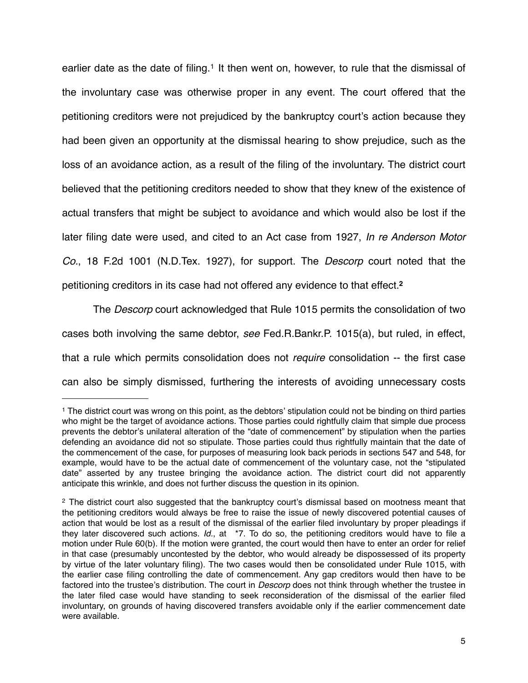earlier date as the date of filing.<sup>[1](#page-4-0)</sup> It then went on, however, to rule that the dismissal of the involuntary case was otherwise proper in any event. The court offered that the petitioning creditors were not prejudiced by the bankruptcy court's action because they had been given an opportunity at the dismissal hearing to show prejudice, such as the loss of an avoidance action, as a result of the filing of the involuntary. The district court believed that the petitioning creditors needed to show that they knew of the existence of actual transfers that might be subject to avoidance and which would also be lost if the later filing date were used, and cited to an Act case from 1927, *In re Anderson Motor Co.*, 18 F.2d 1001 (N.D.Tex. 1927), for support. The *Descorp* court noted that the petitioning creditors in its case had not offered any evidence to that effect.**[2](#page-4-1)**

The *Descorp* court acknowledged that Rule 1015 permits the consolidation of two cases both involving the same debtor, *see* Fed.R.Bankr.P. 1015(a), but ruled, in effect, that a rule which permits consolidation does not *require* consolidation -- the first case can also be simply dismissed, furthering the interests of avoiding unnecessary costs

<span id="page-4-0"></span><sup>1</sup> The district court was wrong on this point, as the debtors' stipulation could not be binding on third parties who might be the target of avoidance actions. Those parties could rightfully claim that simple due process prevents the debtor's unilateral alteration of the "date of commencement" by stipulation when the parties defending an avoidance did not so stipulate. Those parties could thus rightfully maintain that the date of the commencement of the case, for purposes of measuring look back periods in sections 547 and 548, for example, would have to be the actual date of commencement of the voluntary case, not the "stipulated date" asserted by any trustee bringing the avoidance action. The district court did not apparently anticipate this wrinkle, and does not further discuss the question in its opinion.

<span id="page-4-1"></span><sup>&</sup>lt;sup>2</sup> The district court also suggested that the bankruptcy court's dismissal based on mootness meant that the petitioning creditors would always be free to raise the issue of newly discovered potential causes of action that would be lost as a result of the dismissal of the earlier filed involuntary by proper pleadings if they later discovered such actions. *Id.*, at \*7. To do so, the petitioning creditors would have to file a motion under Rule 60(b). If the motion were granted, the court would then have to enter an order for relief in that case (presumably uncontested by the debtor, who would already be dispossessed of its property by virtue of the later voluntary filing). The two cases would then be consolidated under Rule 1015, with the earlier case filing controlling the date of commencement. Any gap creditors would then have to be factored into the trustee's distribution. The court in *Descorp* does not think through whether the trustee in the later filed case would have standing to seek reconsideration of the dismissal of the earlier filed involuntary, on grounds of having discovered transfers avoidable only if the earlier commencement date were available.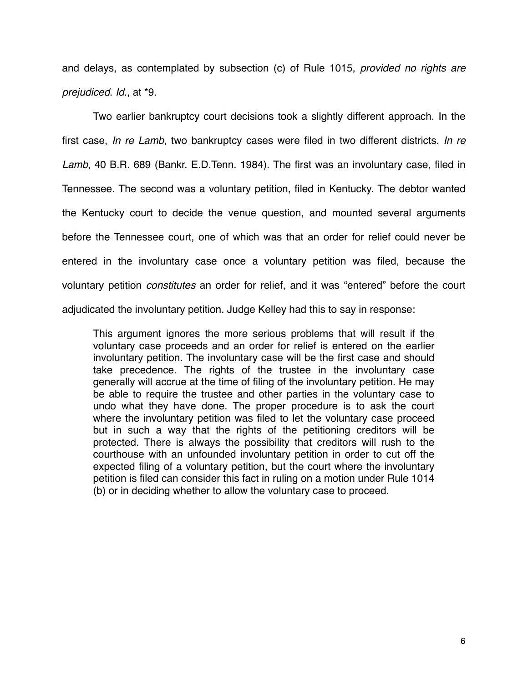and delays, as contemplated by subsection (c) of Rule 1015, *provided no rights are prejudiced*. *Id.*, at \*9.

Two earlier bankruptcy court decisions took a slightly different approach. In the first case, *In re Lamb*, two bankruptcy cases were filed in two different districts. *In re Lamb*, 40 B.R. 689 (Bankr. E.D.Tenn. 1984). The first was an involuntary case, filed in Tennessee. The second was a voluntary petition, filed in Kentucky. The debtor wanted the Kentucky court to decide the venue question, and mounted several arguments before the Tennessee court, one of which was that an order for relief could never be entered in the involuntary case once a voluntary petition was filed, because the voluntary petition *constitutes* an order for relief, and it was "entered" before the court adjudicated the involuntary petition. Judge Kelley had this to say in response:

This argument ignores the more serious problems that will result if the voluntary case proceeds and an order for relief is entered on the earlier involuntary petition. The involuntary case will be the first case and should take precedence. The rights of the trustee in the involuntary case generally will accrue at the time of filing of the involuntary petition. He may be able to require the trustee and other parties in the voluntary case to undo what they have done. The proper procedure is to ask the court where the involuntary petition was filed to let the voluntary case proceed but in such a way that the rights of the petitioning creditors will be protected. There is always the possibility that creditors will rush to the courthouse with an unfounded involuntary petition in order to cut off the expected filing of a voluntary petition, but the court where the involuntary petition is filed can consider this fact in ruling on a motion under Rule 1014 (b) or in deciding whether to allow the voluntary case to proceed.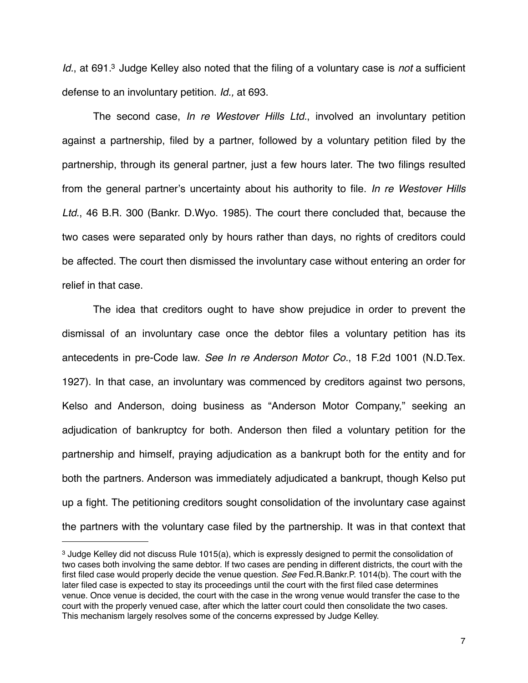*Id.*, at 691[.3](#page-6-0) Judge Kelley also noted that the filing of a voluntary case is *not* a sufficient defense to an involuntary petition. *Id.,* at 693.

The second case, *In re Westover Hills Ltd.*, involved an involuntary petition against a partnership, filed by a partner, followed by a voluntary petition filed by the partnership, through its general partner, just a few hours later. The two filings resulted from the general partner's uncertainty about his authority to file. *In re Westover Hills Ltd.*, 46 B.R. 300 (Bankr. D.Wyo. 1985). The court there concluded that, because the two cases were separated only by hours rather than days, no rights of creditors could be affected. The court then dismissed the involuntary case without entering an order for relief in that case.

The idea that creditors ought to have show prejudice in order to prevent the dismissal of an involuntary case once the debtor files a voluntary petition has its antecedents in pre-Code law. *See In re Anderson Motor Co.*, 18 F.2d 1001 (N.D.Tex. 1927). In that case, an involuntary was commenced by creditors against two persons, Kelso and Anderson, doing business as "Anderson Motor Company," seeking an adjudication of bankruptcy for both. Anderson then filed a voluntary petition for the partnership and himself, praying adjudication as a bankrupt both for the entity and for both the partners. Anderson was immediately adjudicated a bankrupt, though Kelso put up a fight. The petitioning creditors sought consolidation of the involuntary case against the partners with the voluntary case filed by the partnership. It was in that context that

<span id="page-6-0"></span><sup>3</sup> Judge Kelley did not discuss Rule 1015(a), which is expressly designed to permit the consolidation of two cases both involving the same debtor. If two cases are pending in different districts, the court with the first filed case would properly decide the venue question. *See* Fed.R.Bankr.P. 1014(b). The court with the later filed case is expected to stay its proceedings until the court with the first filed case determines venue. Once venue is decided, the court with the case in the wrong venue would transfer the case to the court with the properly venued case, after which the latter court could then consolidate the two cases. This mechanism largely resolves some of the concerns expressed by Judge Kelley.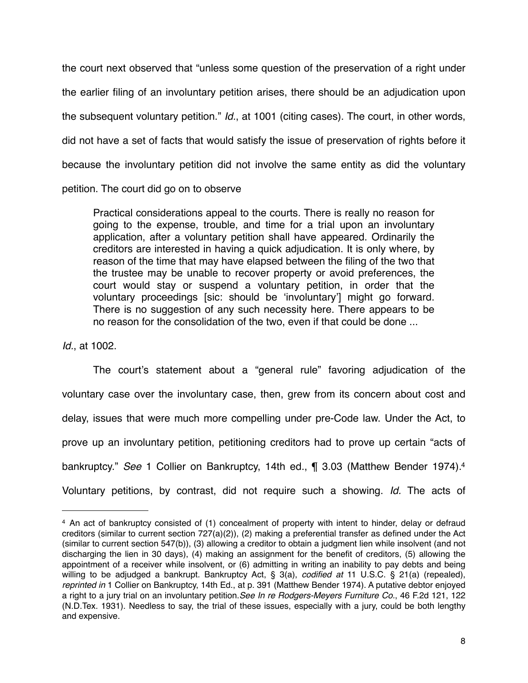the court next observed that "unless some question of the preservation of a right under the earlier filing of an involuntary petition arises, there should be an adjudication upon the subsequent voluntary petition." *Id.*, at 1001 (citing cases). The court, in other words, did not have a set of facts that would satisfy the issue of preservation of rights before it because the involuntary petition did not involve the same entity as did the voluntary petition. The court did go on to observe

Practical considerations appeal to the courts. There is really no reason for going to the expense, trouble, and time for a trial upon an involuntary application, after a voluntary petition shall have appeared. Ordinarily the creditors are interested in having a quick adjudication. It is only where, by reason of the time that may have elapsed between the filing of the two that the trustee may be unable to recover property or avoid preferences, the court would stay or suspend a voluntary petition, in order that the voluntary proceedings [sic: should be ʻinvoluntary'] might go forward. There is no suggestion of any such necessity here. There appears to be no reason for the consolidation of the two, even if that could be done ...

*Id.*, at 1002.

The court's statement about a "general rule" favoring adjudication of the voluntary case over the involuntary case, then, grew from its concern about cost and delay, issues that were much more compelling under pre-Code law. Under the Act, to prove up an involuntary petition, petitioning creditors had to prove up certain "acts of bankruptcy." *See* 1 Collier on Bankruptcy, 14th ed., ¶ 3.03 (Matthew Bender 1974)[.4](#page-7-0) Voluntary petitions, by contrast, did not require such a showing. *Id.* The acts of

<span id="page-7-0"></span><sup>4</sup> An act of bankruptcy consisted of (1) concealment of property with intent to hinder, delay or defraud creditors (similar to current section 727(a)(2)), (2) making a preferential transfer as defined under the Act (similar to current section 547(b)), (3) allowing a creditor to obtain a judgment lien while insolvent (and not discharging the lien in 30 days), (4) making an assignment for the benefit of creditors, (5) allowing the appointment of a receiver while insolvent, or (6) admitting in writing an inability to pay debts and being willing to be adjudged a bankrupt. Bankruptcy Act, § 3(a), *codified at* 11 U.S.C. § 21(a) (repealed), *reprinted in* 1 Collier on Bankruptcy, 14th Ed., at p. 391 (Matthew Bender 1974). A putative debtor enjoyed a right to a jury trial on an involuntary petition.*See In re Rodgers-Meyers Furniture Co.*, 46 F.2d 121, 122 (N.D.Tex. 1931). Needless to say, the trial of these issues, especially with a jury, could be both lengthy and expensive.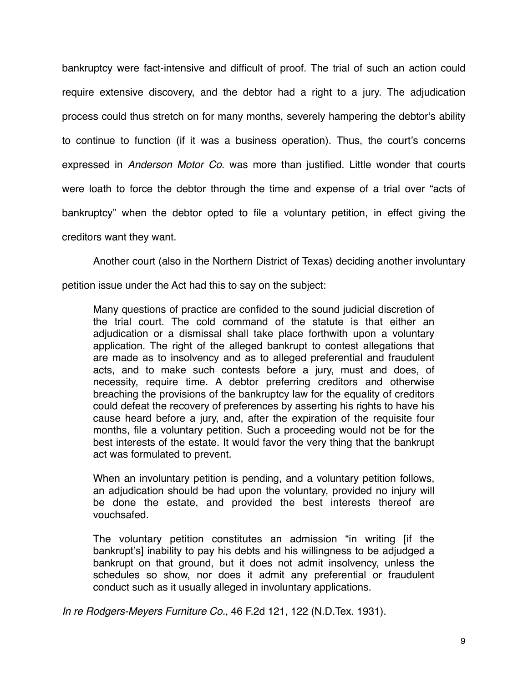bankruptcy were fact-intensive and difficult of proof. The trial of such an action could require extensive discovery, and the debtor had a right to a jury. The adjudication process could thus stretch on for many months, severely hampering the debtor's ability to continue to function (if it was a business operation). Thus, the court's concerns expressed in *Anderson Motor Co.* was more than justified. Little wonder that courts were loath to force the debtor through the time and expense of a trial over "acts of bankruptcy" when the debtor opted to file a voluntary petition, in effect giving the creditors want they want.

Another court (also in the Northern District of Texas) deciding another involuntary

petition issue under the Act had this to say on the subject:

Many questions of practice are confided to the sound judicial discretion of the trial court. The cold command of the statute is that either an adjudication or a dismissal shall take place forthwith upon a voluntary application. The right of the alleged bankrupt to contest allegations that are made as to insolvency and as to alleged preferential and fraudulent acts, and to make such contests before a jury, must and does, of necessity, require time. A debtor preferring creditors and otherwise breaching the provisions of the bankruptcy law for the equality of creditors could defeat the recovery of preferences by asserting his rights to have his cause heard before a jury, and, after the expiration of the requisite four months, file a voluntary petition. Such a proceeding would not be for the best interests of the estate. It would favor the very thing that the bankrupt act was formulated to prevent.

When an involuntary petition is pending, and a voluntary petition follows, an adjudication should be had upon the voluntary, provided no injury will be done the estate, and provided the best interests thereof are vouchsafed.

The voluntary petition constitutes an admission "in writing [if the bankrupt's] inability to pay his debts and his willingness to be adjudged a bankrupt on that ground, but it does not admit insolvency, unless the schedules so show, nor does it admit any preferential or fraudulent conduct such as it usually alleged in involuntary applications.

*In re Rodgers-Meyers Furniture Co.*, 46 F.2d 121, 122 (N.D.Tex. 1931).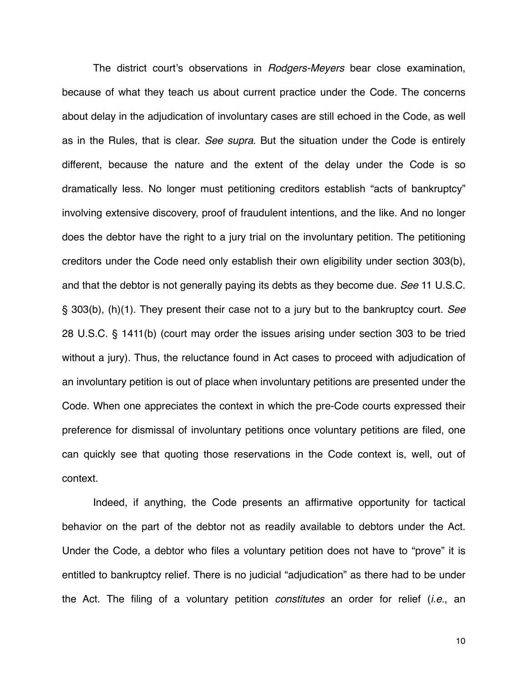The district court's observations in *Rodgers-Meyers* bear close examination, because of what they teach us about current practice under the Code. The concerns about delay in the adjudication of involuntary cases are still echoed in the Code, as well as in the Rules, that is clear. *See supra*. But the situation under the Code is entirely different, because the nature and the extent of the delay under the Code is so dramatically less. No longer must petitioning creditors establish "acts of bankruptcy" involving extensive discovery, proof of fraudulent intentions, and the like. And no longer does the debtor have the right to a jury trial on the involuntary petition. The petitioning creditors under the Code need only establish their own eligibility under section 303(b), and that the debtor is not generally paying its debts as they become due. *See* 11 U.S.C. § 303(b), (h)(1). They present their case not to a jury but to the bankruptcy court. *See*  28 U.S.C. § 1411(b) (court may order the issues arising under section 303 to be tried without a jury). Thus, the reluctance found in Act cases to proceed with adjudication of an involuntary petition is out of place when involuntary petitions are presented under the Code. When one appreciates the context in which the pre-Code courts expressed their preference for dismissal of involuntary petitions once voluntary petitions are filed, one can quickly see that quoting those reservations in the Code context is, well, out of context.

Indeed, if anything, the Code presents an affirmative opportunity for tactical behavior on the part of the debtor not as readily available to debtors under the Act. Under the Code, a debtor who files a voluntary petition does not have to "prove" it is entitled to bankruptcy relief. There is no judicial "adjudication" as there had to be under the Act. The filing of a voluntary petition *constitutes* an order for relief (*i.e.*, an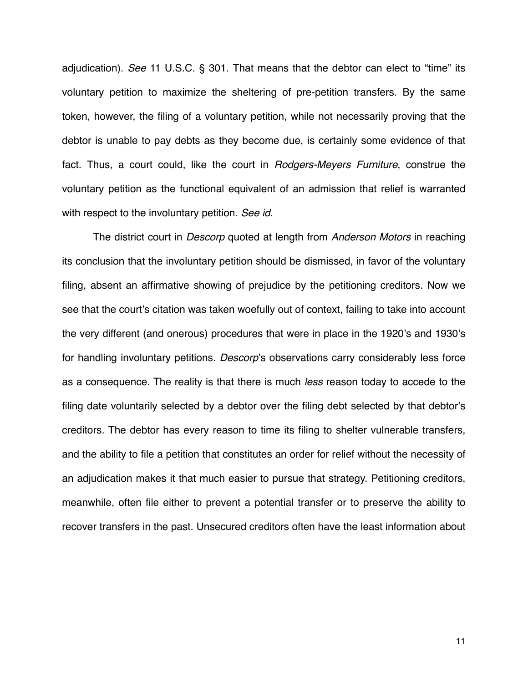adjudication). *See* 11 U.S.C. § 301. That means that the debtor can elect to "time" its voluntary petition to maximize the sheltering of pre-petition transfers. By the same token, however, the filing of a voluntary petition, while not necessarily proving that the debtor is unable to pay debts as they become due, is certainly some evidence of that fact. Thus, a court could, like the court in *Rodgers-Meyers Furniture*, construe the voluntary petition as the functional equivalent of an admission that relief is warranted with respect to the involuntary petition. *See id.*

The district court in *Descorp* quoted at length from *Anderson Motors* in reaching its conclusion that the involuntary petition should be dismissed, in favor of the voluntary filing, absent an affirmative showing of prejudice by the petitioning creditors. Now we see that the court's citation was taken woefully out of context, failing to take into account the very different (and onerous) procedures that were in place in the 1920's and 1930's for handling involuntary petitions. *Descorp*'s observations carry considerably less force as a consequence. The reality is that there is much *less* reason today to accede to the filing date voluntarily selected by a debtor over the filing debt selected by that debtor's creditors. The debtor has every reason to time its filing to shelter vulnerable transfers, and the ability to file a petition that constitutes an order for relief without the necessity of an adjudication makes it that much easier to pursue that strategy. Petitioning creditors, meanwhile, often file either to prevent a potential transfer or to preserve the ability to recover transfers in the past. Unsecured creditors often have the least information about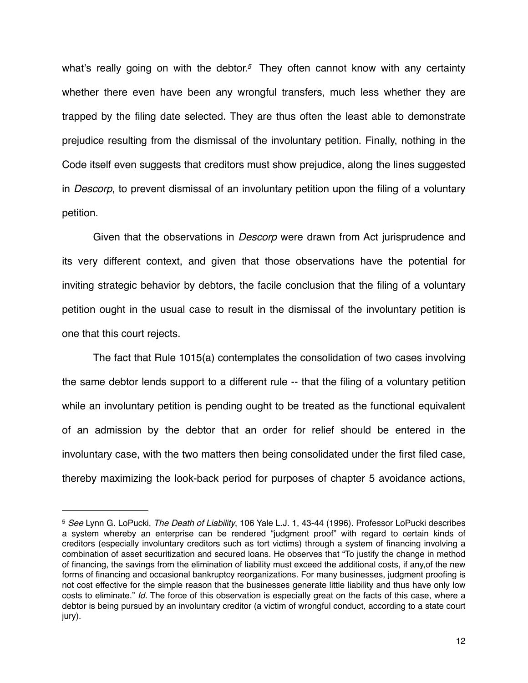what's really going on with the debtor.*[5](#page-11-0)* They often cannot know with any certainty whether there even have been any wrongful transfers, much less whether they are trapped by the filing date selected. They are thus often the least able to demonstrate prejudice resulting from the dismissal of the involuntary petition. Finally, nothing in the Code itself even suggests that creditors must show prejudice, along the lines suggested in *Descorp*, to prevent dismissal of an involuntary petition upon the filing of a voluntary petition.

Given that the observations in *Descorp* were drawn from Act jurisprudence and its very different context, and given that those observations have the potential for inviting strategic behavior by debtors, the facile conclusion that the filing of a voluntary petition ought in the usual case to result in the dismissal of the involuntary petition is one that this court rejects.

The fact that Rule 1015(a) contemplates the consolidation of two cases involving the same debtor lends support to a different rule -- that the filing of a voluntary petition while an involuntary petition is pending ought to be treated as the functional equivalent of an admission by the debtor that an order for relief should be entered in the involuntary case, with the two matters then being consolidated under the first filed case, thereby maximizing the look-back period for purposes of chapter 5 avoidance actions,

<span id="page-11-0"></span><sup>5</sup> *See* Lynn G. LoPucki, *The Death of Liability*, 106 Yale L.J. 1, 43-44 (1996). Professor LoPucki describes a system whereby an enterprise can be rendered "judgment proof" with regard to certain kinds of creditors (especially involuntary creditors such as tort victims) through a system of financing involving a combination of asset securitization and secured loans. He observes that "To justify the change in method of financing, the savings from the elimination of liability must exceed the additional costs, if any,of the new forms of financing and occasional bankruptcy reorganizations. For many businesses, judgment proofing is not cost effective for the simple reason that the businesses generate little liability and thus have only low costs to eliminate." *Id.* The force of this observation is especially great on the facts of this case, where a debtor is being pursued by an involuntary creditor (a victim of wrongful conduct, according to a state court jury).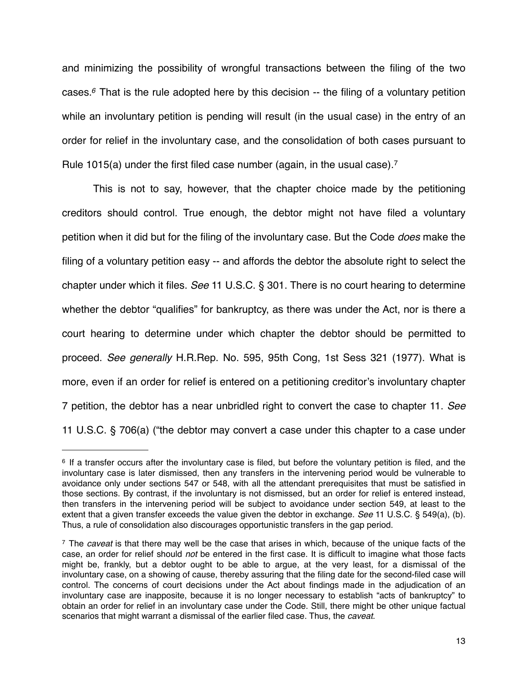and minimizing the possibility of wrongful transactions between the filing of the two cases.*[6](#page-12-0)* That is the rule adopted here by this decision -- the filing of a voluntary petition while an involuntary petition is pending will result (in the usual case) in the entry of an order for relief in the involuntary case, and the consolidation of both cases pursuant to Rule 1015(a) under the first filed case number (again, in the usual case).[7](#page-12-1)

This is not to say, however, that the chapter choice made by the petitioning creditors should control. True enough, the debtor might not have filed a voluntary petition when it did but for the filing of the involuntary case. But the Code *does* make the filing of a voluntary petition easy -- and affords the debtor the absolute right to select the chapter under which it files. *See* 11 U.S.C. § 301. There is no court hearing to determine whether the debtor "qualifies" for bankruptcy, as there was under the Act, nor is there a court hearing to determine under which chapter the debtor should be permitted to proceed. *See generally* H.R.Rep. No. 595, 95th Cong, 1st Sess 321 (1977). What is more, even if an order for relief is entered on a petitioning creditor's involuntary chapter 7 petition, the debtor has a near unbridled right to convert the case to chapter 11. *See*  11 U.S.C. § 706(a) ("the debtor may convert a case under this chapter to a case under

<span id="page-12-0"></span><sup>6</sup> If a transfer occurs after the involuntary case is filed, but before the voluntary petition is filed, and the involuntary case is later dismissed, then any transfers in the intervening period would be vulnerable to avoidance only under sections 547 or 548, with all the attendant prerequisites that must be satisfied in those sections. By contrast, if the involuntary is not dismissed, but an order for relief is entered instead, then transfers in the intervening period will be subject to avoidance under section 549, at least to the extent that a given transfer exceeds the value given the debtor in exchange. *See* 11 U.S.C. § 549(a), (b). Thus, a rule of consolidation also discourages opportunistic transfers in the gap period.

<span id="page-12-1"></span><sup>7</sup> The *caveat* is that there may well be the case that arises in which, because of the unique facts of the case, an order for relief should *not* be entered in the first case. It is difficult to imagine what those facts might be, frankly, but a debtor ought to be able to argue, at the very least, for a dismissal of the involuntary case, on a showing of cause, thereby assuring that the filing date for the second-filed case will control. The concerns of court decisions under the Act about findings made in the adjudication of an involuntary case are inapposite, because it is no longer necessary to establish "acts of bankruptcy" to obtain an order for relief in an involuntary case under the Code. Still, there might be other unique factual scenarios that might warrant a dismissal of the earlier filed case. Thus, the *caveat*.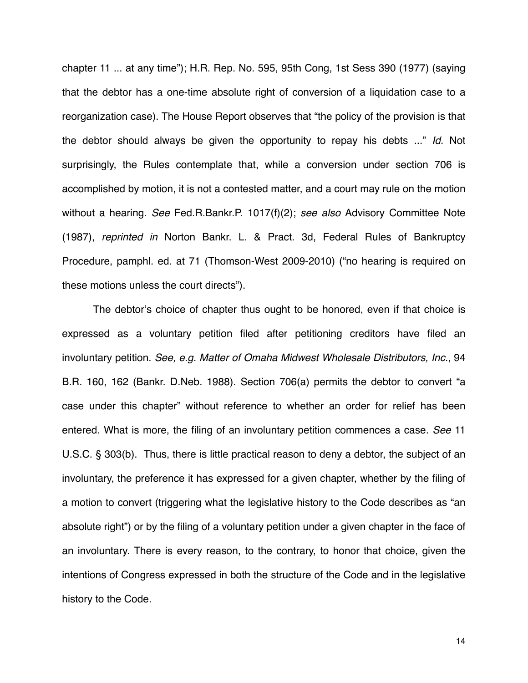chapter 11 ... at any time"); H.R. Rep. No. 595, 95th Cong, 1st Sess 390 (1977) (saying that the debtor has a one-time absolute right of conversion of a liquidation case to a reorganization case). The House Report observes that "the policy of the provision is that the debtor should always be given the opportunity to repay his debts ..." *Id.* Not surprisingly, the Rules contemplate that, while a conversion under section 706 is accomplished by motion, it is not a contested matter, and a court may rule on the motion without a hearing. *See* Fed.R.Bankr.P. 1017(f)(2); *see also* Advisory Committee Note (1987), *reprinted in* Norton Bankr. L. & Pract. 3d, Federal Rules of Bankruptcy Procedure, pamphl. ed. at 71 (Thomson-West 2009-2010) ("no hearing is required on these motions unless the court directs").

The debtor's choice of chapter thus ought to be honored, even if that choice is expressed as a voluntary petition filed after petitioning creditors have filed an involuntary petition. *See, e.g. Matter of Omaha Midwest Wholesale Distributors, Inc.*, 94 B.R. 160, 162 (Bankr. D.Neb. 1988). Section 706(a) permits the debtor to convert "a case under this chapter" without reference to whether an order for relief has been entered. What is more, the filing of an involuntary petition commences a case. *See* 11 U.S.C. § 303(b). Thus, there is little practical reason to deny a debtor, the subject of an involuntary, the preference it has expressed for a given chapter, whether by the filing of a motion to convert (triggering what the legislative history to the Code describes as "an absolute right") or by the filing of a voluntary petition under a given chapter in the face of an involuntary. There is every reason, to the contrary, to honor that choice, given the intentions of Congress expressed in both the structure of the Code and in the legislative history to the Code.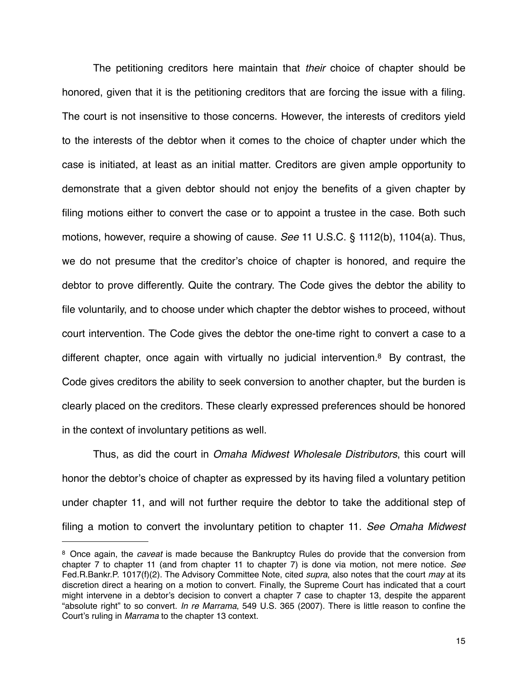The petitioning creditors here maintain that *their* choice of chapter should be honored, given that it is the petitioning creditors that are forcing the issue with a filing. The court is not insensitive to those concerns. However, the interests of creditors yield to the interests of the debtor when it comes to the choice of chapter under which the case is initiated, at least as an initial matter. Creditors are given ample opportunity to demonstrate that a given debtor should not enjoy the benefits of a given chapter by filing motions either to convert the case or to appoint a trustee in the case. Both such motions, however, require a showing of cause. *See* 11 U.S.C. § 1112(b), 1104(a). Thus, we do not presume that the creditor's choice of chapter is honored, and require the debtor to prove differently. Quite the contrary. The Code gives the debtor the ability to file voluntarily, and to choose under which chapter the debtor wishes to proceed, without court intervention. The Code gives the debtor the one-time right to convert a case to a different chapter, once again with virtually no judicial intervention[.8](#page-14-0) By contrast, the Code gives creditors the ability to seek conversion to another chapter, but the burden is clearly placed on the creditors. These clearly expressed preferences should be honored in the context of involuntary petitions as well.

Thus, as did the court in *Omaha Midwest Wholesale Distributors*, this court will honor the debtor's choice of chapter as expressed by its having filed a voluntary petition under chapter 11, and will not further require the debtor to take the additional step of filing a motion to convert the involuntary petition to chapter 11. *See Omaha Midwest* 

<span id="page-14-0"></span><sup>8</sup> Once again, the *caveat* is made because the Bankruptcy Rules do provide that the conversion from chapter 7 to chapter 11 (and from chapter 11 to chapter 7) is done via motion, not mere notice. *See* Fed.R.Bankr.P. 1017(f)(2). The Advisory Committee Note, cited *supra*, also notes that the court *may* at its discretion direct a hearing on a motion to convert. Finally, the Supreme Court has indicated that a court might intervene in a debtor's decision to convert a chapter 7 case to chapter 13, despite the apparent "absolute right" to so convert. *In re Marrama*, 549 U.S. 365 (2007). There is little reason to confine the Court's ruling in *Marrama* to the chapter 13 context.